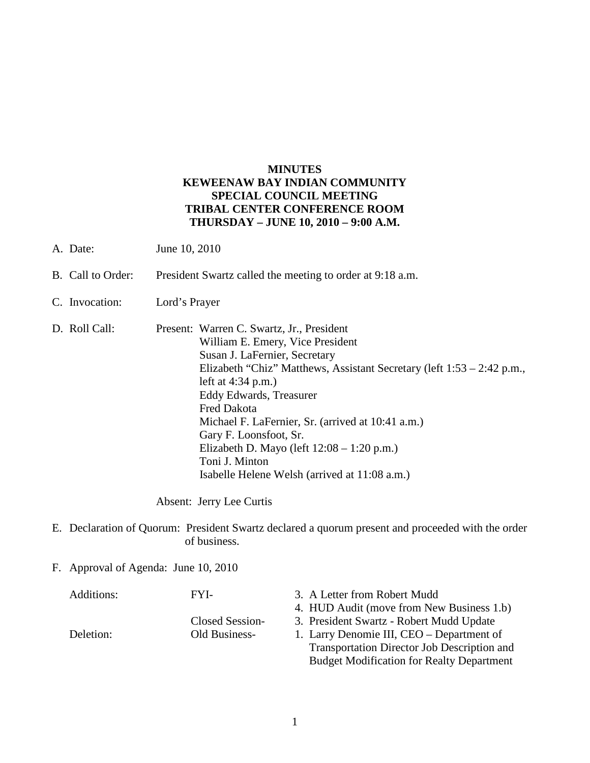# **MINUTES KEWEENAW BAY INDIAN COMMUNITY SPECIAL COUNCIL MEETING TRIBAL CENTER CONFERENCE ROOM THURSDAY – JUNE 10, 2010 – 9:00 A.M.**

- A. Date: June 10, 2010
- B. Call to Order: President Swartz called the meeting to order at 9:18 a.m.
- C. Invocation: Lord's Prayer
- D. Roll Call: Present: Warren C. Swartz, Jr., President William E. Emery, Vice President Susan J. LaFernier, Secretary Elizabeth "Chiz" Matthews, Assistant Secretary (left 1:53 – 2:42 p.m., left at 4:34 p.m.) Eddy Edwards, Treasurer Fred Dakota Michael F. LaFernier, Sr. (arrived at 10:41 a.m.) Gary F. Loonsfoot, Sr. Elizabeth D. Mayo (left 12:08 – 1:20 p.m.) Toni J. Minton Isabelle Helene Welsh (arrived at 11:08 a.m.)

Absent: Jerry Lee Curtis

- E. Declaration of Quorum: President Swartz declared a quorum present and proceeded with the order of business.
- F. Approval of Agenda: June 10, 2010

| Additions: | FYI-            | 3. A Letter from Robert Mudd                       |
|------------|-----------------|----------------------------------------------------|
|            |                 | 4. HUD Audit (move from New Business 1.b)          |
|            | Closed Session- | 3. President Swartz - Robert Mudd Update           |
| Deletion:  | Old Business-   | 1. Larry Denomie III, CEO – Department of          |
|            |                 | <b>Transportation Director Job Description and</b> |
|            |                 | <b>Budget Modification for Realty Department</b>   |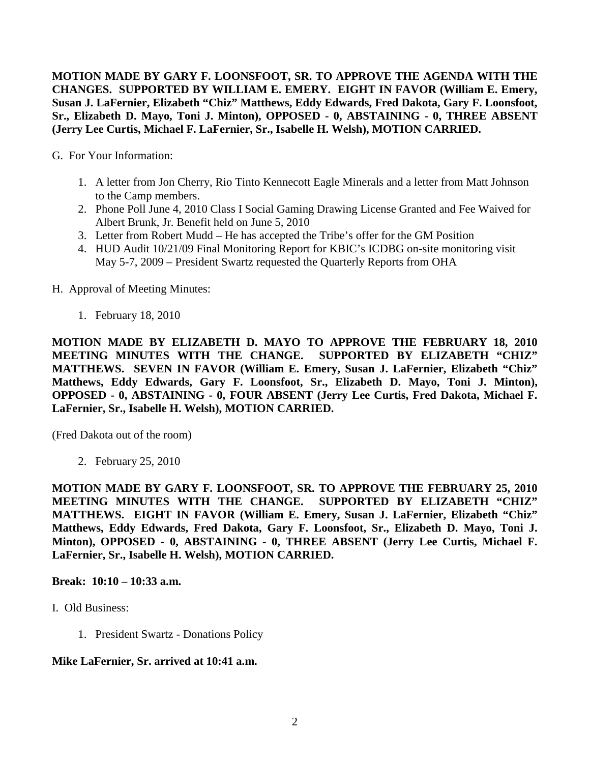**MOTION MADE BY GARY F. LOONSFOOT, SR. TO APPROVE THE AGENDA WITH THE CHANGES. SUPPORTED BY WILLIAM E. EMERY. EIGHT IN FAVOR (William E. Emery, Susan J. LaFernier, Elizabeth "Chiz" Matthews, Eddy Edwards, Fred Dakota, Gary F. Loonsfoot, Sr., Elizabeth D. Mayo, Toni J. Minton), OPPOSED - 0, ABSTAINING - 0, THREE ABSENT (Jerry Lee Curtis, Michael F. LaFernier, Sr., Isabelle H. Welsh), MOTION CARRIED.**

G. For Your Information:

- 1. A letter from Jon Cherry, Rio Tinto Kennecott Eagle Minerals and a letter from Matt Johnson to the Camp members.
- 2. Phone Poll June 4, 2010 Class I Social Gaming Drawing License Granted and Fee Waived for Albert Brunk, Jr. Benefit held on June 5, 2010
- 3. Letter from Robert Mudd He has accepted the Tribe's offer for the GM Position
- 4. HUD Audit 10/21/09 Final Monitoring Report for KBIC's ICDBG on-site monitoring visit May 5-7, 2009 – President Swartz requested the Quarterly Reports from OHA
- H. Approval of Meeting Minutes:
	- 1. February 18, 2010

**MOTION MADE BY ELIZABETH D. MAYO TO APPROVE THE FEBRUARY 18, 2010 MEETING MINUTES WITH THE CHANGE. SUPPORTED BY ELIZABETH "CHIZ" MATTHEWS. SEVEN IN FAVOR (William E. Emery, Susan J. LaFernier, Elizabeth "Chiz" Matthews, Eddy Edwards, Gary F. Loonsfoot, Sr., Elizabeth D. Mayo, Toni J. Minton), OPPOSED - 0, ABSTAINING - 0, FOUR ABSENT (Jerry Lee Curtis, Fred Dakota, Michael F. LaFernier, Sr., Isabelle H. Welsh), MOTION CARRIED.**

(Fred Dakota out of the room)

2. February 25, 2010

**MOTION MADE BY GARY F. LOONSFOOT, SR. TO APPROVE THE FEBRUARY 25, 2010 MEETING MINUTES WITH THE CHANGE. SUPPORTED BY ELIZABETH "CHIZ" MATTHEWS. EIGHT IN FAVOR (William E. Emery, Susan J. LaFernier, Elizabeth "Chiz" Matthews, Eddy Edwards, Fred Dakota, Gary F. Loonsfoot, Sr., Elizabeth D. Mayo, Toni J. Minton), OPPOSED - 0, ABSTAINING - 0, THREE ABSENT (Jerry Lee Curtis, Michael F. LaFernier, Sr., Isabelle H. Welsh), MOTION CARRIED.**

### **Break: 10:10 – 10:33 a.m.**

- I. Old Business:
	- 1. President Swartz Donations Policy

### **Mike LaFernier, Sr. arrived at 10:41 a.m.**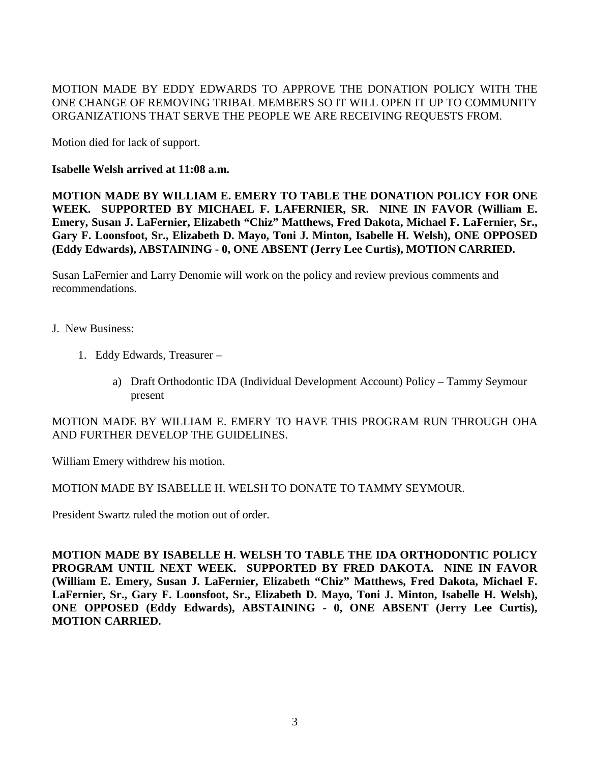MOTION MADE BY EDDY EDWARDS TO APPROVE THE DONATION POLICY WITH THE ONE CHANGE OF REMOVING TRIBAL MEMBERS SO IT WILL OPEN IT UP TO COMMUNITY ORGANIZATIONS THAT SERVE THE PEOPLE WE ARE RECEIVING REQUESTS FROM.

Motion died for lack of support.

**Isabelle Welsh arrived at 11:08 a.m.** 

**MOTION MADE BY WILLIAM E. EMERY TO TABLE THE DONATION POLICY FOR ONE WEEK. SUPPORTED BY MICHAEL F. LAFERNIER, SR. NINE IN FAVOR (William E. Emery, Susan J. LaFernier, Elizabeth "Chiz" Matthews, Fred Dakota, Michael F. LaFernier, Sr., Gary F. Loonsfoot, Sr., Elizabeth D. Mayo, Toni J. Minton, Isabelle H. Welsh), ONE OPPOSED (Eddy Edwards), ABSTAINING - 0, ONE ABSENT (Jerry Lee Curtis), MOTION CARRIED.**

Susan LaFernier and Larry Denomie will work on the policy and review previous comments and recommendations.

- J. New Business:
	- 1. Eddy Edwards, Treasurer
		- a) Draft Orthodontic IDA (Individual Development Account) Policy Tammy Seymour present

MOTION MADE BY WILLIAM E. EMERY TO HAVE THIS PROGRAM RUN THROUGH OHA AND FURTHER DEVELOP THE GUIDELINES.

William Emery withdrew his motion.

MOTION MADE BY ISABELLE H. WELSH TO DONATE TO TAMMY SEYMOUR.

President Swartz ruled the motion out of order.

**MOTION MADE BY ISABELLE H. WELSH TO TABLE THE IDA ORTHODONTIC POLICY PROGRAM UNTIL NEXT WEEK. SUPPORTED BY FRED DAKOTA. NINE IN FAVOR (William E. Emery, Susan J. LaFernier, Elizabeth "Chiz" Matthews, Fred Dakota, Michael F. LaFernier, Sr., Gary F. Loonsfoot, Sr., Elizabeth D. Mayo, Toni J. Minton, Isabelle H. Welsh), ONE OPPOSED (Eddy Edwards), ABSTAINING - 0, ONE ABSENT (Jerry Lee Curtis), MOTION CARRIED.**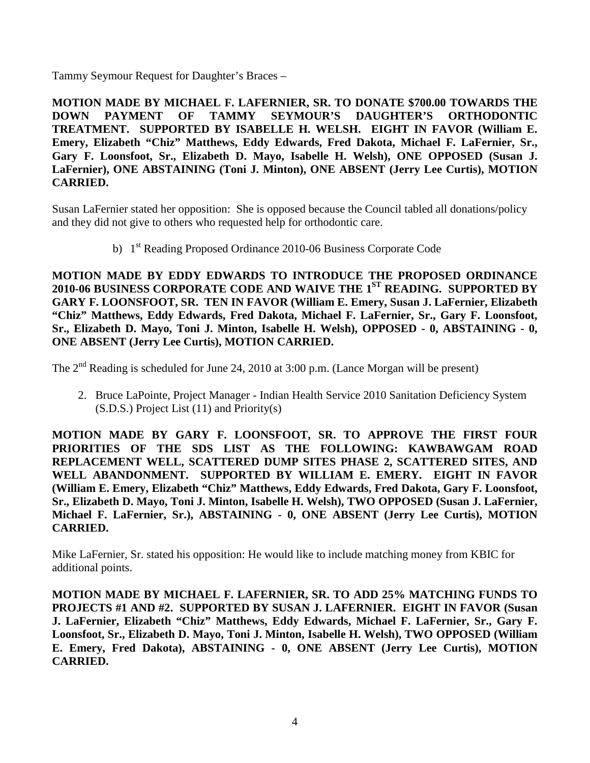Tammy Seymour Request for Daughter's Braces –

**MOTION MADE BY MICHAEL F. LAFERNIER, SR. TO DONATE \$700.00 TOWARDS THE DOWN PAYMENT OF TAMMY SEYMOUR'S DAUGHTER'S ORTHODONTIC TREATMENT. SUPPORTED BY ISABELLE H. WELSH. EIGHT IN FAVOR (William E. Emery, Elizabeth "Chiz" Matthews, Eddy Edwards, Fred Dakota, Michael F. LaFernier, Sr., Gary F. Loonsfoot, Sr., Elizabeth D. Mayo, Isabelle H. Welsh), ONE OPPOSED (Susan J. LaFernier), ONE ABSTAINING (Toni J. Minton), ONE ABSENT (Jerry Lee Curtis), MOTION CARRIED.**

Susan LaFernier stated her opposition: She is opposed because the Council tabled all donations/policy and they did not give to others who requested help for orthodontic care.

b) 1<sup>st</sup> Reading Proposed Ordinance 2010-06 Business Corporate Code

**MOTION MADE BY EDDY EDWARDS TO INTRODUCE THE PROPOSED ORDINANCE 2010-06 BUSINESS CORPORATE CODE AND WAIVE THE 1ST READING. SUPPORTED BY GARY F. LOONSFOOT, SR. TEN IN FAVOR (William E. Emery, Susan J. LaFernier, Elizabeth "Chiz" Matthews, Eddy Edwards, Fred Dakota, Michael F. LaFernier, Sr., Gary F. Loonsfoot, Sr., Elizabeth D. Mayo, Toni J. Minton, Isabelle H. Welsh), OPPOSED - 0, ABSTAINING - 0, ONE ABSENT (Jerry Lee Curtis), MOTION CARRIED.**

The  $2<sup>nd</sup>$  Reading is scheduled for June 24, 2010 at 3:00 p.m. (Lance Morgan will be present)

2. Bruce LaPointe, Project Manager - Indian Health Service 2010 Sanitation Deficiency System (S.D.S.) Project List (11) and Priority(s)

**MOTION MADE BY GARY F. LOONSFOOT, SR. TO APPROVE THE FIRST FOUR PRIORITIES OF THE SDS LIST AS THE FOLLOWING: KAWBAWGAM ROAD REPLACEMENT WELL, SCATTERED DUMP SITES PHASE 2, SCATTERED SITES, AND WELL ABANDONMENT. SUPPORTED BY WILLIAM E. EMERY. EIGHT IN FAVOR (William E. Emery, Elizabeth "Chiz" Matthews, Eddy Edwards, Fred Dakota, Gary F. Loonsfoot, Sr., Elizabeth D. Mayo, Toni J. Minton, Isabelle H. Welsh), TWO OPPOSED (Susan J. LaFernier, Michael F. LaFernier, Sr.), ABSTAINING - 0, ONE ABSENT (Jerry Lee Curtis), MOTION CARRIED.**

Mike LaFernier, Sr. stated his opposition: He would like to include matching money from KBIC for additional points.

**MOTION MADE BY MICHAEL F. LAFERNIER, SR. TO ADD 25% MATCHING FUNDS TO PROJECTS #1 AND #2. SUPPORTED BY SUSAN J. LAFERNIER. EIGHT IN FAVOR (Susan J. LaFernier, Elizabeth "Chiz" Matthews, Eddy Edwards, Michael F. LaFernier, Sr., Gary F. Loonsfoot, Sr., Elizabeth D. Mayo, Toni J. Minton, Isabelle H. Welsh), TWO OPPOSED (William E. Emery, Fred Dakota), ABSTAINING - 0, ONE ABSENT (Jerry Lee Curtis), MOTION CARRIED.**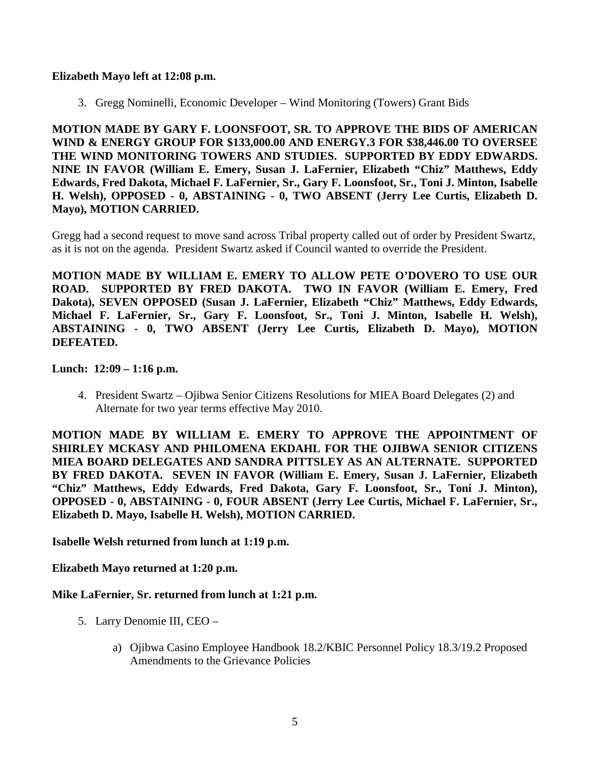### **Elizabeth Mayo left at 12:08 p.m.**

3. Gregg Nominelli, Economic Developer – Wind Monitoring (Towers) Grant Bids

**MOTION MADE BY GARY F. LOONSFOOT, SR. TO APPROVE THE BIDS OF AMERICAN WIND & ENERGY GROUP FOR \$133,000.00 AND ENERGY.3 FOR \$38,446.00 TO OVERSEE THE WIND MONITORING TOWERS AND STUDIES. SUPPORTED BY EDDY EDWARDS. NINE IN FAVOR (William E. Emery, Susan J. LaFernier, Elizabeth "Chiz" Matthews, Eddy Edwards, Fred Dakota, Michael F. LaFernier, Sr., Gary F. Loonsfoot, Sr., Toni J. Minton, Isabelle H. Welsh), OPPOSED - 0, ABSTAINING - 0, TWO ABSENT (Jerry Lee Curtis, Elizabeth D. Mayo), MOTION CARRIED.**

Gregg had a second request to move sand across Tribal property called out of order by President Swartz, as it is not on the agenda. President Swartz asked if Council wanted to override the President.

**MOTION MADE BY WILLIAM E. EMERY TO ALLOW PETE O'DOVERO TO USE OUR ROAD. SUPPORTED BY FRED DAKOTA. TWO IN FAVOR (William E. Emery, Fred Dakota), SEVEN OPPOSED (Susan J. LaFernier, Elizabeth "Chiz" Matthews, Eddy Edwards, Michael F. LaFernier, Sr., Gary F. Loonsfoot, Sr., Toni J. Minton, Isabelle H. Welsh), ABSTAINING - 0, TWO ABSENT (Jerry Lee Curtis, Elizabeth D. Mayo), MOTION DEFEATED.**

### **Lunch: 12:09 – 1:16 p.m.**

4. President Swartz – Ojibwa Senior Citizens Resolutions for MIEA Board Delegates (2) and Alternate for two year terms effective May 2010.

**MOTION MADE BY WILLIAM E. EMERY TO APPROVE THE APPOINTMENT OF SHIRLEY MCKASY AND PHILOMENA EKDAHL FOR THE OJIBWA SENIOR CITIZENS MIEA BOARD DELEGATES AND SANDRA PITTSLEY AS AN ALTERNATE. SUPPORTED BY FRED DAKOTA. SEVEN IN FAVOR (William E. Emery, Susan J. LaFernier, Elizabeth "Chiz" Matthews, Eddy Edwards, Fred Dakota, Gary F. Loonsfoot, Sr., Toni J. Minton), OPPOSED - 0, ABSTAINING - 0, FOUR ABSENT (Jerry Lee Curtis, Michael F. LaFernier, Sr., Elizabeth D. Mayo, Isabelle H. Welsh), MOTION CARRIED.** 

#### **Isabelle Welsh returned from lunch at 1:19 p.m.**

**Elizabeth Mayo returned at 1:20 p.m.** 

### **Mike LaFernier, Sr. returned from lunch at 1:21 p.m.**

- 5. Larry Denomie III, CEO
	- a) Ojibwa Casino Employee Handbook 18.2/KBIC Personnel Policy 18.3/19.2 Proposed Amendments to the Grievance Policies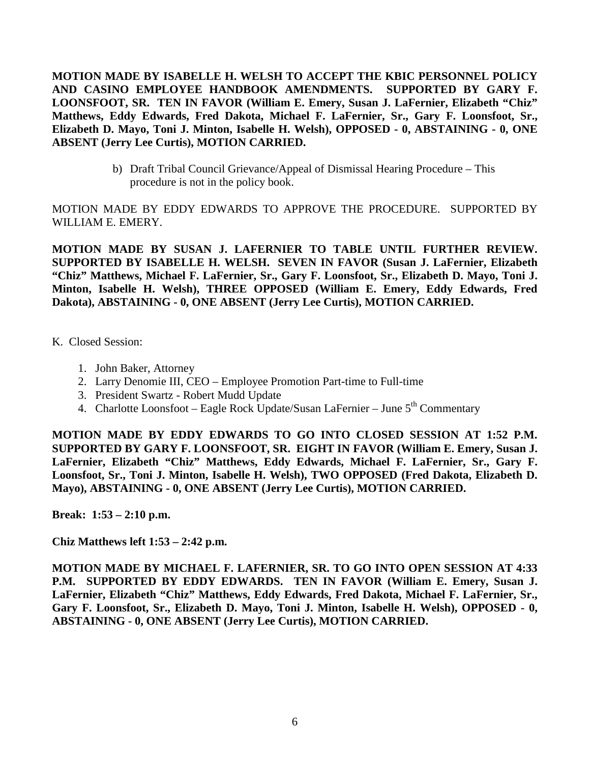**MOTION MADE BY ISABELLE H. WELSH TO ACCEPT THE KBIC PERSONNEL POLICY AND CASINO EMPLOYEE HANDBOOK AMENDMENTS. SUPPORTED BY GARY F. LOONSFOOT, SR. TEN IN FAVOR (William E. Emery, Susan J. LaFernier, Elizabeth "Chiz" Matthews, Eddy Edwards, Fred Dakota, Michael F. LaFernier, Sr., Gary F. Loonsfoot, Sr., Elizabeth D. Mayo, Toni J. Minton, Isabelle H. Welsh), OPPOSED - 0, ABSTAINING - 0, ONE ABSENT (Jerry Lee Curtis), MOTION CARRIED.**

> b) Draft Tribal Council Grievance/Appeal of Dismissal Hearing Procedure – This procedure is not in the policy book.

MOTION MADE BY EDDY EDWARDS TO APPROVE THE PROCEDURE. SUPPORTED BY WILLIAM E. EMERY.

**MOTION MADE BY SUSAN J. LAFERNIER TO TABLE UNTIL FURTHER REVIEW. SUPPORTED BY ISABELLE H. WELSH. SEVEN IN FAVOR (Susan J. LaFernier, Elizabeth "Chiz" Matthews, Michael F. LaFernier, Sr., Gary F. Loonsfoot, Sr., Elizabeth D. Mayo, Toni J. Minton, Isabelle H. Welsh), THREE OPPOSED (William E. Emery, Eddy Edwards, Fred Dakota), ABSTAINING - 0, ONE ABSENT (Jerry Lee Curtis), MOTION CARRIED.**

K. Closed Session:

- 1. John Baker, Attorney
- 2. Larry Denomie III, CEO Employee Promotion Part-time to Full-time
- 3. President Swartz Robert Mudd Update
- 4. Charlotte Loonsfoot Eagle Rock Update/Susan LaFernier June 5<sup>th</sup> Commentary

**MOTION MADE BY EDDY EDWARDS TO GO INTO CLOSED SESSION AT 1:52 P.M. SUPPORTED BY GARY F. LOONSFOOT, SR. EIGHT IN FAVOR (William E. Emery, Susan J. LaFernier, Elizabeth "Chiz" Matthews, Eddy Edwards, Michael F. LaFernier, Sr., Gary F. Loonsfoot, Sr., Toni J. Minton, Isabelle H. Welsh), TWO OPPOSED (Fred Dakota, Elizabeth D. Mayo), ABSTAINING - 0, ONE ABSENT (Jerry Lee Curtis), MOTION CARRIED.**

**Break: 1:53 – 2:10 p.m.** 

**Chiz Matthews left 1:53 – 2:42 p.m.** 

**MOTION MADE BY MICHAEL F. LAFERNIER, SR. TO GO INTO OPEN SESSION AT 4:33 P.M. SUPPORTED BY EDDY EDWARDS. TEN IN FAVOR (William E. Emery, Susan J. LaFernier, Elizabeth "Chiz" Matthews, Eddy Edwards, Fred Dakota, Michael F. LaFernier, Sr., Gary F. Loonsfoot, Sr., Elizabeth D. Mayo, Toni J. Minton, Isabelle H. Welsh), OPPOSED - 0, ABSTAINING - 0, ONE ABSENT (Jerry Lee Curtis), MOTION CARRIED.**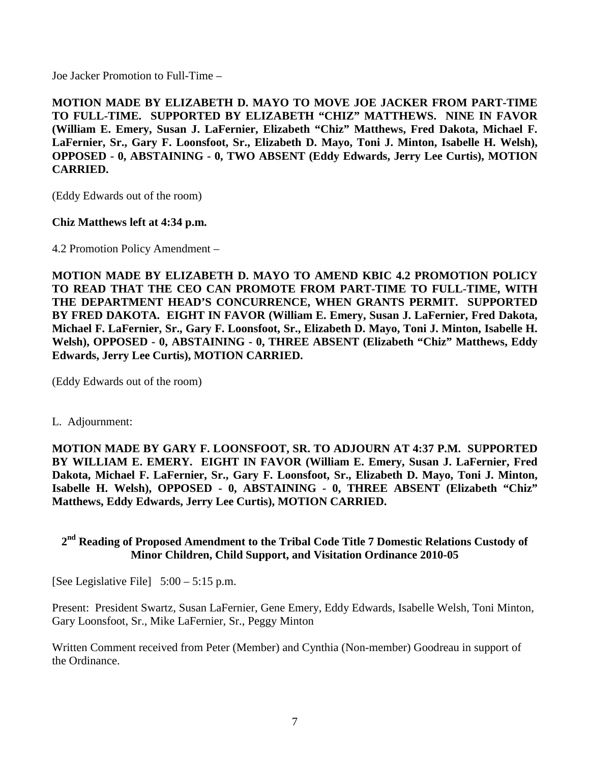Joe Jacker Promotion to Full-Time –

**MOTION MADE BY ELIZABETH D. MAYO TO MOVE JOE JACKER FROM PART-TIME TO FULL-TIME. SUPPORTED BY ELIZABETH "CHIZ" MATTHEWS. NINE IN FAVOR (William E. Emery, Susan J. LaFernier, Elizabeth "Chiz" Matthews, Fred Dakota, Michael F. LaFernier, Sr., Gary F. Loonsfoot, Sr., Elizabeth D. Mayo, Toni J. Minton, Isabelle H. Welsh), OPPOSED - 0, ABSTAINING - 0, TWO ABSENT (Eddy Edwards, Jerry Lee Curtis), MOTION CARRIED.**

(Eddy Edwards out of the room)

# **Chiz Matthews left at 4:34 p.m.**

4.2 Promotion Policy Amendment –

**MOTION MADE BY ELIZABETH D. MAYO TO AMEND KBIC 4.2 PROMOTION POLICY TO READ THAT THE CEO CAN PROMOTE FROM PART-TIME TO FULL-TIME, WITH THE DEPARTMENT HEAD'S CONCURRENCE, WHEN GRANTS PERMIT. SUPPORTED BY FRED DAKOTA. EIGHT IN FAVOR (William E. Emery, Susan J. LaFernier, Fred Dakota, Michael F. LaFernier, Sr., Gary F. Loonsfoot, Sr., Elizabeth D. Mayo, Toni J. Minton, Isabelle H. Welsh), OPPOSED - 0, ABSTAINING - 0, THREE ABSENT (Elizabeth "Chiz" Matthews, Eddy Edwards, Jerry Lee Curtis), MOTION CARRIED.**

(Eddy Edwards out of the room)

L. Adjournment:

**MOTION MADE BY GARY F. LOONSFOOT, SR. TO ADJOURN AT 4:37 P.M. SUPPORTED BY WILLIAM E. EMERY. EIGHT IN FAVOR (William E. Emery, Susan J. LaFernier, Fred Dakota, Michael F. LaFernier, Sr., Gary F. Loonsfoot, Sr., Elizabeth D. Mayo, Toni J. Minton, Isabelle H. Welsh), OPPOSED - 0, ABSTAINING - 0, THREE ABSENT (Elizabeth "Chiz" Matthews, Eddy Edwards, Jerry Lee Curtis), MOTION CARRIED.**

# **2nd Reading of Proposed Amendment to the Tribal Code Title 7 Domestic Relations Custody of Minor Children, Child Support, and Visitation Ordinance 2010-05**

[See Legislative File] 5:00 – 5:15 p.m.

Present: President Swartz, Susan LaFernier, Gene Emery, Eddy Edwards, Isabelle Welsh, Toni Minton, Gary Loonsfoot, Sr., Mike LaFernier, Sr., Peggy Minton

Written Comment received from Peter (Member) and Cynthia (Non-member) Goodreau in support of the Ordinance.